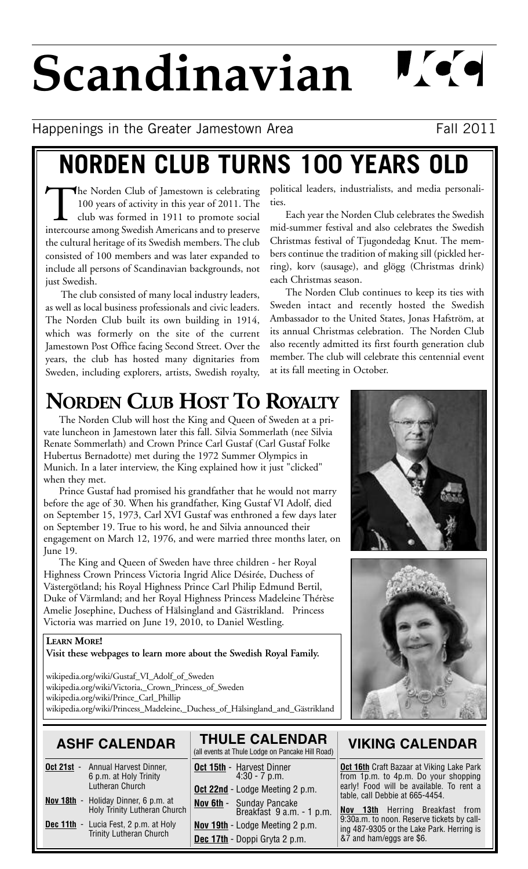# **Scandinavian**

 $\mathbf{N}$  or  $\mathbf{Q}$ 

Happenings in the Greater Jamestown Area Fall 2011

## **NORDEN CLUB TURNS 100 YEARS OLD**

The Norden Club of Jamestown is celebrating 100 years of activity in this year of 2011. The club was formed in 1911 to promote social intercourse among Swedish Americans and to preserve the cultural heritage of its Swedish members. The club consisted of 100 members and was later expanded to include all persons of Scandinavian backgrounds, not just Swedish.

The club consisted of many local industry leaders, as well as local business professionals and civic leaders. The Norden Club built its own building in 1914, which was formerly on the site of the current Jamestown Post Office facing Second Street. Over the years, the club has hosted many dignitaries from Sweden, including explorers, artists, Swedish royalty, political leaders, industrialists, and media personalities.

Each year the Norden Club celebrates the Swedish mid-summer festival and also celebrates the Swedish Christmas festival of Tjugondedag Knut. The members continue the tradition of making sill (pickled herring), korv (sausage), and glögg (Christmas drink) each Christmas season.

The Norden Club continues to keep its ties with Sweden intact and recently hosted the Swedish Ambassador to the United States, Jonas Hafström, at its annual Christmas celebration. The Norden Club also recently admitted its first fourth generation club member. The club will celebrate this centennial event at its fall meeting in October.

## **NORDEN CLUB HOST TO ROYALTY**

The Norden Club will host the King and Queen of Sweden at a private luncheon in Jamestown later this fall. Silvia Sommerlath (nee Silvia Renate Sommerlath) and Crown Prince Carl Gustaf (Carl Gustaf Folke Hubertus Bernadotte) met during the 1972 Summer Olympics in Munich. In a later interview, the King explained how it just "clicked" when they met.

Prince Gustaf had promised his grandfather that he would not marry before the age of 30. When his grandfather, King Gustaf VI Adolf, died on September 15, 1973, Carl XVI Gustaf was enthroned a few days later on September 19. True to his word, he and Silvia announced their engagement on March 12, 1976, and were married three months later, on June 19.

The King and Queen of Sweden have three children - her Royal Highness Crown Princess Victoria Ingrid Alice Désirée, Duchess of Västergötland; his Royal Highness Prince Carl Philip Edmund Bertil, Duke of Värmland; and her Royal Highness Princess Madeleine Thérèse Amelie Josephine, Duchess of Hälsingland and Gästrikland. Princess Victoria was married on June 19, 2010, to Daniel Westling.

#### **LEARN MORE!**

**Visit these webpages to learn more about the Swedish Royal Family.**

wikipedia.org/wiki/Gustaf\_VI\_Adolf\_of\_Sweden wikipedia.org/wiki/Victoria,\_Crown\_Princess\_of\_Sweden wikipedia.org/wiki/Prince\_Carl\_Phillip wikipedia.org/wiki/Princess\_Madeleine,\_Duchess\_of\_Hälsingland\_and\_Gästrikland

### **ASHF CALENDAR**

- **Oct 21st** Annual Harvest Dinner, 6 p.m. at Holy Trinity Lutheran Church **Nov 18th** - Holiday Dinner, 6 p.m. at
- Holy Trinity Lutheran Church
- **Dec 11th** Lucia Fest, 2 p.m. at Holy Trinity Lutheran Church

| <b>THULE CALENDAR</b><br>(all events at Thule Lodge on Pancake Hill Road) |
|---------------------------------------------------------------------------|
| <b>Oct 15th - Harvest Dinner</b><br>$4:30 - 7$ p.m.                       |
| Oct 22nd - Lodge Meeting 2 p.m.                                           |
| Nov 6th - Sunday Pancake<br>Breakfast 9 a.m. - 1 p.m.                     |
| Nov 19th - Lodge Meeting 2 p.m.                                           |
| Dec 17th - Doppi Gryta 2 p.m.                                             |





### **VIKING CALENDAR**

**Oct 16th** Craft Bazaar at Viking Lake Park from 1p.m. to 4p.m. Do your shopping early! Food will be available. To rent a table, call Debbie at 665-4454.

**Nov 13th** Herring Breakfast from 9:30a.m. to noon. Reserve tickets by calling 487-9305 or the Lake Park. Herring is &7 and ham/eggs are \$6.